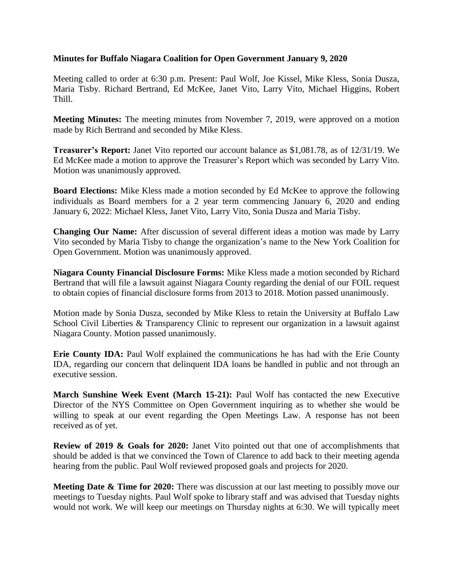## **Minutes for Buffalo Niagara Coalition for Open Government January 9, 2020**

Meeting called to order at 6:30 p.m. Present: Paul Wolf, Joe Kissel, Mike Kless, Sonia Dusza, Maria Tisby. Richard Bertrand, Ed McKee, Janet Vito, Larry Vito, Michael Higgins, Robert Thill.

**Meeting Minutes:** The meeting minutes from November 7, 2019, were approved on a motion made by Rich Bertrand and seconded by Mike Kless.

**Treasurer's Report:** Janet Vito reported our account balance as \$1,081.78, as of 12/31/19. We Ed McKee made a motion to approve the Treasurer's Report which was seconded by Larry Vito. Motion was unanimously approved.

**Board Elections:** Mike Kless made a motion seconded by Ed McKee to approve the following individuals as Board members for a 2 year term commencing January 6, 2020 and ending January 6, 2022: Michael Kless, Janet Vito, Larry Vito, Sonia Dusza and Maria Tisby.

**Changing Our Name:** After discussion of several different ideas a motion was made by Larry Vito seconded by Maria Tisby to change the organization's name to the New York Coalition for Open Government. Motion was unanimously approved.

**Niagara County Financial Disclosure Forms:** Mike Kless made a motion seconded by Richard Bertrand that will file a lawsuit against Niagara County regarding the denial of our FOIL request to obtain copies of financial disclosure forms from 2013 to 2018. Motion passed unanimously.

Motion made by Sonia Dusza, seconded by Mike Kless to retain the University at Buffalo Law School Civil Liberties & Transparency Clinic to represent our organization in a lawsuit against Niagara County. Motion passed unanimously.

**Erie County IDA:** Paul Wolf explained the communications he has had with the Erie County IDA, regarding our concern that delinquent IDA loans be handled in public and not through an executive session.

**March Sunshine Week Event (March 15-21):** Paul Wolf has contacted the new Executive Director of the NYS Committee on Open Government inquiring as to whether she would be willing to speak at our event regarding the Open Meetings Law. A response has not been received as of yet.

**Review of 2019 & Goals for 2020:** Janet Vito pointed out that one of accomplishments that should be added is that we convinced the Town of Clarence to add back to their meeting agenda hearing from the public. Paul Wolf reviewed proposed goals and projects for 2020.

**Meeting Date & Time for 2020:** There was discussion at our last meeting to possibly move our meetings to Tuesday nights. Paul Wolf spoke to library staff and was advised that Tuesday nights would not work. We will keep our meetings on Thursday nights at 6:30. We will typically meet